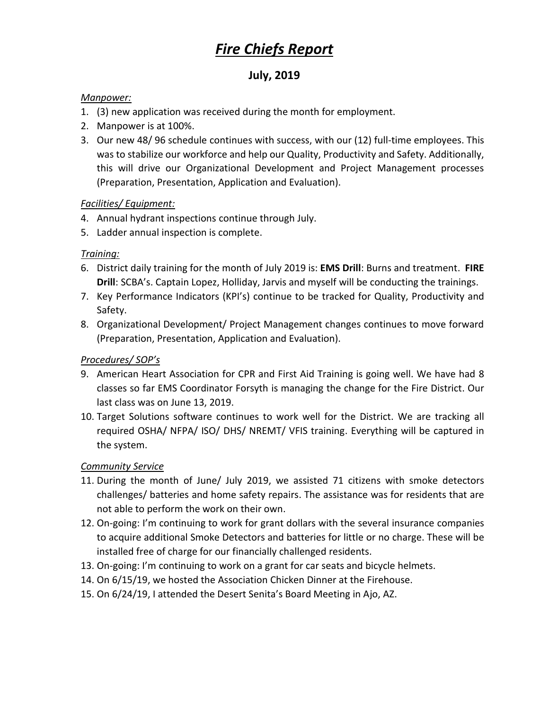# *Fire Chiefs Report*

# **July, 2019**

#### *Manpower:*

- 1. (3) new application was received during the month for employment.
- 2. Manpower is at 100%.
- 3. Our new 48/ 96 schedule continues with success, with our (12) full-time employees. This was to stabilize our workforce and help our Quality, Productivity and Safety. Additionally, this will drive our Organizational Development and Project Management processes (Preparation, Presentation, Application and Evaluation).

### *Facilities/ Equipment:*

- 4. Annual hydrant inspections continue through July.
- 5. Ladder annual inspection is complete.

# *Training:*

- 6. District daily training for the month of July 2019 is: **EMS Drill**: Burns and treatment. **FIRE Drill**: SCBA's. Captain Lopez, Holliday, Jarvis and myself will be conducting the trainings.
- 7. Key Performance Indicators (KPI's) continue to be tracked for Quality, Productivity and Safety.
- 8. Organizational Development/ Project Management changes continues to move forward (Preparation, Presentation, Application and Evaluation).

### *Procedures/ SOP's*

- 9. American Heart Association for CPR and First Aid Training is going well. We have had 8 classes so far EMS Coordinator Forsyth is managing the change for the Fire District. Our last class was on June 13, 2019.
- 10. Target Solutions software continues to work well for the District. We are tracking all required OSHA/ NFPA/ ISO/ DHS/ NREMT/ VFIS training. Everything will be captured in the system.

### *Community Service*

- 11. During the month of June/ July 2019, we assisted 71 citizens with smoke detectors challenges/ batteries and home safety repairs. The assistance was for residents that are not able to perform the work on their own.
- 12. On-going: I'm continuing to work for grant dollars with the several insurance companies to acquire additional Smoke Detectors and batteries for little or no charge. These will be installed free of charge for our financially challenged residents.
- 13. On-going: I'm continuing to work on a grant for car seats and bicycle helmets.
- 14. On 6/15/19, we hosted the Association Chicken Dinner at the Firehouse.
- 15. On 6/24/19, I attended the Desert Senita's Board Meeting in Ajo, AZ.